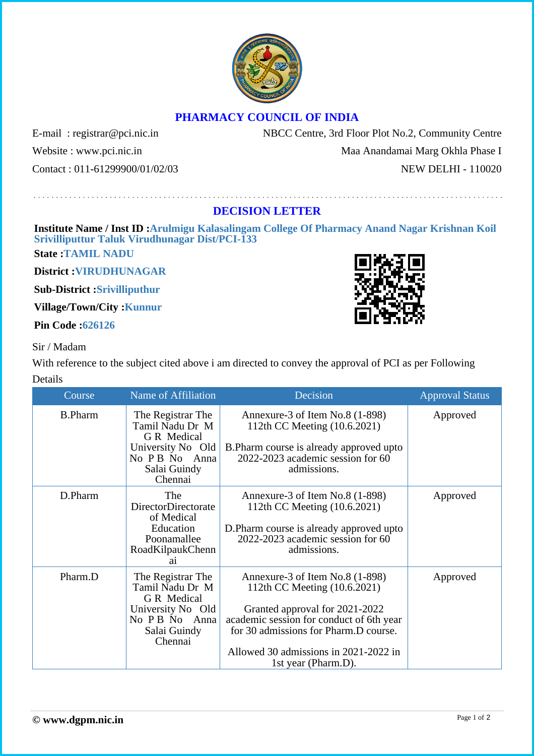## **PHARMACY COUNCIL OF INDIA**

Website : www.pci.nic.in Maa Anandamai Marg Okhla Phase I

E-mail: registrar@pci.nic.in NBCC Centre, 3rd Floor Plot No.2, Community Centre

Contact : 011-61299900/01/02/03 NEW DELHI - 110020

## **DECISION LETTER**

**Institute Name / Inst ID :Arulmigu Kalasalingam College Of Pharmacy Anand Nagar Krishnan Koil Srivilliputtur Taluk Virudhunagar Dist/PCI-133**

**State :TAMIL NADU**

**District :VIRUDHUNAGAR**

**Sub-District :Srivilliputhur**

**Village/Town/City :Kunnur**

**Pin Code :626126**

## Sir / Madam

With reference to the subject cited above i am directed to convey the approval of PCI as per Following Details

| Course         | Name of Affiliation                                                                                                   | Decision                                                                                                                                                                                                                                               | <b>Approval Status</b> |
|----------------|-----------------------------------------------------------------------------------------------------------------------|--------------------------------------------------------------------------------------------------------------------------------------------------------------------------------------------------------------------------------------------------------|------------------------|
| <b>B.Pharm</b> | The Registrar The<br>Tamil Nadu Dr M<br>G R Medical<br>University No Old<br>No P B No Anna<br>Salai Guindy<br>Chennai | Annexure-3 of Item No.8 (1-898)<br>112th CC Meeting (10.6.2021)<br>B.Pharm course is already approved upto<br>2022-2023 academic session for 60<br>admissions.                                                                                         | Approved               |
| D.Pharm        | The<br>DirectorDirectorate<br>of Medical<br>Education<br>Poonamallee<br>RoadKilpaukChenn<br>a1                        | Annexure-3 of Item No.8 (1-898)<br>112th CC Meeting (10.6.2021)<br>D.Pharm course is already approved upto<br>2022-2023 academic session for 60<br>admissions.                                                                                         | Approved               |
| Pharm.D        | The Registrar The<br>Tamil Nadu Dr M<br>G R Medical<br>University No Old<br>No P B No Anna<br>Salai Guindy<br>Chennai | Annexure-3 of Item No.8 (1-898)<br>112th CC Meeting (10.6.2021)<br>Granted approval for 2021-2022<br>academic session for conduct of 6th year<br>for 30 admissions for Pharm.D course.<br>Allowed 30 admissions in 2021-2022 in<br>1st year (Pharm.D). | Approved               |